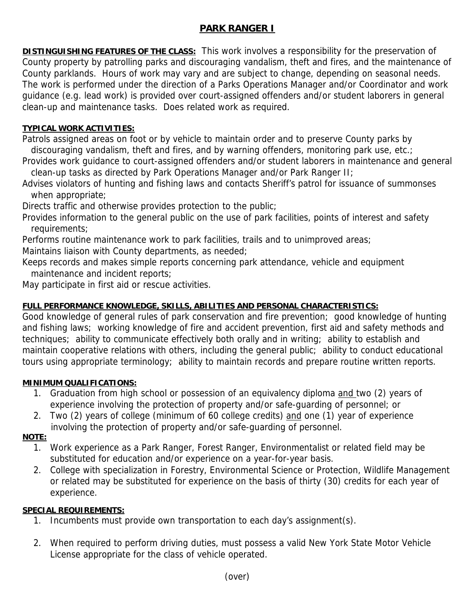# **PARK RANGER I**

**DISTINGUISHING FEATURES OF THE CLASS:** This work involves a responsibility for the preservation of County property by patrolling parks and discouraging vandalism, theft and fires, and the maintenance of County parklands. Hours of work may vary and are subject to change, depending on seasonal needs. The work is performed under the direction of a Parks Operations Manager and/or Coordinator and work guidance (e.g. lead work) is provided over court-assigned offenders and/or student laborers in general clean-up and maintenance tasks. Does related work as required.

## **TYPICAL WORK ACTIVITIES:**

Patrols assigned areas on foot or by vehicle to maintain order and to preserve County parks by discouraging vandalism, theft and fires, and by warning offenders, monitoring park use, etc.;

Provides work guidance to court-assigned offenders and/or student laborers in maintenance and general clean-up tasks as directed by Park Operations Manager and/or Park Ranger II;

Advises violators of hunting and fishing laws and contacts Sheriff's patrol for issuance of summonses when appropriate;

Directs traffic and otherwise provides protection to the public;

Provides information to the general public on the use of park facilities, points of interest and safety requirements;

Performs routine maintenance work to park facilities, trails and to unimproved areas; Maintains liaison with County departments, as needed;

Keeps records and makes simple reports concerning park attendance, vehicle and equipment maintenance and incident reports;

May participate in first aid or rescue activities.

### **FULL PERFORMANCE KNOWLEDGE, SKILLS, ABILITIES AND PERSONAL CHARACTERISTICS:**

Good knowledge of general rules of park conservation and fire prevention; good knowledge of hunting and fishing laws; working knowledge of fire and accident prevention, first aid and safety methods and techniques; ability to communicate effectively both orally and in writing; ability to establish and maintain cooperative relations with others, including the general public; ability to conduct educational tours using appropriate terminology; ability to maintain records and prepare routine written reports.

#### **MINIMUM QUALIFICATIONS:**

- 1. Graduation from high school or possession of an equivalency diploma and two (2) years of experience involving the protection of property and/or safe-guarding of personnel; or
- 2. Two (2) years of college (minimum of 60 college credits) and one (1) year of experience involving the protection of property and/or safe-guarding of personnel.

#### **NOTE:**

- 1. Work experience as a Park Ranger, Forest Ranger, Environmentalist or related field may be substituted for education and/or experience on a year-for-year basis.
- 2. College with specialization in Forestry, Environmental Science or Protection, Wildlife Management or related may be substituted for experience on the basis of thirty (30) credits for each year of experience.

#### **SPECIAL REQUIREMENTS:**

- 1. Incumbents must provide own transportation to each day's assignment(s).
- 2. When required to perform driving duties, must possess a valid New York State Motor Vehicle License appropriate for the class of vehicle operated.